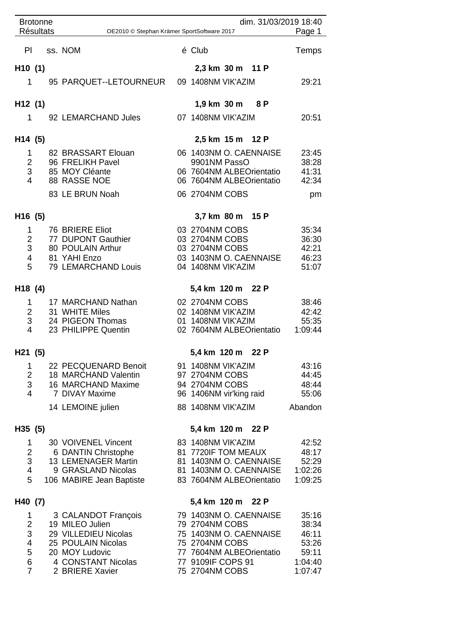| <b>Brotonne</b>                                                                                        |  |                                                                                                                                                 |  | dim. 31/03/2019 18:40                                                                                                                                   |                                                                 |  |  |
|--------------------------------------------------------------------------------------------------------|--|-------------------------------------------------------------------------------------------------------------------------------------------------|--|---------------------------------------------------------------------------------------------------------------------------------------------------------|-----------------------------------------------------------------|--|--|
| <b>Résultats</b>                                                                                       |  | Page 1<br>OE2010 © Stephan Krämer SportSoftware 2017                                                                                            |  |                                                                                                                                                         |                                                                 |  |  |
| PI                                                                                                     |  | ss. NOM                                                                                                                                         |  | é Club                                                                                                                                                  | Temps                                                           |  |  |
| H10(1)                                                                                                 |  |                                                                                                                                                 |  | 2,3 km 30 m 11 P                                                                                                                                        |                                                                 |  |  |
| 1.                                                                                                     |  | 95 PARQUET--LETOURNEUR                                                                                                                          |  | 09 1408NM VIK'AZIM                                                                                                                                      | 29:21                                                           |  |  |
| H12(1)                                                                                                 |  |                                                                                                                                                 |  | 1,9 km 30 m 8 P                                                                                                                                         |                                                                 |  |  |
| 1                                                                                                      |  | 92 LEMARCHAND Jules                                                                                                                             |  | 07 1408NM VIK'AZIM                                                                                                                                      | 20:51                                                           |  |  |
| H <sub>14</sub> (5)                                                                                    |  |                                                                                                                                                 |  | 2,5 km 15 m 12 P                                                                                                                                        |                                                                 |  |  |
| 1<br>$\overline{2}$<br>3<br>4                                                                          |  | 82 BRASSART Elouan<br>96 FRELIKH Pavel<br>85 MOY Cléante<br>88 RASSE NOE                                                                        |  | 06 1403NM O. CAENNAISE<br>9901NM PassO<br>06 7604NM ALBEOrientatio<br>06 7604NM ALBEOrientatio                                                          | 23:45<br>38:28<br>41:31<br>42:34                                |  |  |
|                                                                                                        |  | 83 LE BRUN Noah                                                                                                                                 |  | 06 2704NM COBS                                                                                                                                          | pm                                                              |  |  |
| H <sub>16</sub> (5)                                                                                    |  |                                                                                                                                                 |  | 3,7 km 80 m<br>15P                                                                                                                                      |                                                                 |  |  |
| 1<br>$\overline{2}$<br>3<br>4<br>5                                                                     |  | 76 BRIERE Eliot<br>77 DUPONT Gauthier<br>80 POULAIN Arthur<br>81 YAHI Enzo<br>79 LEMARCHAND Louis                                               |  | 03 2704NM COBS<br>03 2704NM COBS<br>03 2704NM COBS<br>03 1403NM O. CAENNAISE<br>04 1408NM VIK'AZIM                                                      | 35:34<br>36:30<br>42:21<br>46:23<br>51:07                       |  |  |
| H18(4)                                                                                                 |  |                                                                                                                                                 |  | 5,4 km 120 m<br>22 P                                                                                                                                    |                                                                 |  |  |
| 1<br>$\overline{2}$<br>3<br>4                                                                          |  | 17 MARCHAND Nathan<br>31 WHITE Miles<br>24 PIGEON Thomas<br>23 PHILIPPE Quentin                                                                 |  | 02 2704NM COBS<br>02 1408NM VIK'AZIM<br>01 1408NM VIK'AZIM<br>02 7604NM ALBEOrientatio                                                                  | 38:46<br>42:42<br>55:35<br>1:09:44                              |  |  |
| H21(5)                                                                                                 |  |                                                                                                                                                 |  | 5,4 km 120 m<br>22 P                                                                                                                                    |                                                                 |  |  |
| 1<br>$\overline{2}$<br>3<br>4                                                                          |  | 22 PECQUENARD Benoit<br>18 MARCHAND Valentin<br>16 MARCHAND Maxime<br>7 DIVAY Maxime<br>14 LEMOINE julien                                       |  | 91 1408NM VIK'AZIM<br>97 2704NM COBS<br>94 2704NM COBS<br>96 1406NM vir'king raid<br>88 1408NM VIK'AZIM                                                 | 43:16<br>44:45<br>48:44<br>55:06<br>Abandon                     |  |  |
|                                                                                                        |  |                                                                                                                                                 |  |                                                                                                                                                         |                                                                 |  |  |
| H35(5)                                                                                                 |  |                                                                                                                                                 |  | 5,4 km 120 m 22 P                                                                                                                                       |                                                                 |  |  |
| $\mathbf 1$<br>$\overline{c}$<br>3<br>$\overline{4}$<br>5                                              |  | 30 VOIVENEL Vincent<br>6 DANTIN Christophe<br>13 LEMENAGER Martin<br>9 GRASLAND Nicolas<br>106 MABIRE Jean Baptiste                             |  | 83 1408NM VIK'AZIM<br>81 7720IF TOM MEAUX<br>81 1403NM O. CAENNAISE<br>81 1403NM O. CAENNAISE<br>83 7604NM ALBEOrientatio                               | 42:52<br>48:17<br>52:29<br>1:02:26<br>1:09:25                   |  |  |
| H40 (7)                                                                                                |  |                                                                                                                                                 |  | 5,4 km 120 m 22 P                                                                                                                                       |                                                                 |  |  |
| 1<br>$\overline{2}$<br>$\sqrt{3}$<br>$\overline{\mathcal{A}}$<br>5<br>$6\phantom{1}$<br>$\overline{7}$ |  | 3 CALANDOT François<br>19 MILEO Julien<br>29 VILLEDIEU Nicolas<br>25 POULAIN Nicolas<br>20 MOY Ludovic<br>4 CONSTANT Nicolas<br>2 BRIERE Xavier |  | 79 1403NM O. CAENNAISE<br>79 2704NM COBS<br>75 1403NM O. CAENNAISE<br>75 2704NM COBS<br>77 7604NM ALBEOrientatio<br>77 9109IF COPS 91<br>75 2704NM COBS | 35:16<br>38:34<br>46:11<br>53:26<br>59:11<br>1:04:40<br>1:07:47 |  |  |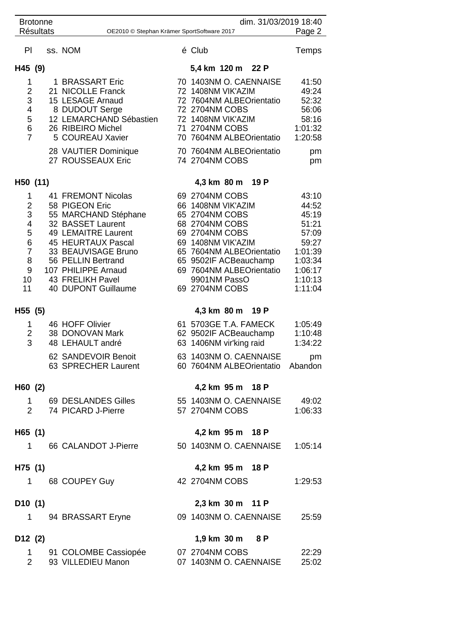| <b>Brotonne</b>                                                                 |  |                                                                                                                                                                                                                                               |  | dim. 31/03/2019 18:40                                                                                                                                                                                                               |                                                                                                           |
|---------------------------------------------------------------------------------|--|-----------------------------------------------------------------------------------------------------------------------------------------------------------------------------------------------------------------------------------------------|--|-------------------------------------------------------------------------------------------------------------------------------------------------------------------------------------------------------------------------------------|-----------------------------------------------------------------------------------------------------------|
| <b>Résultats</b><br>Page 2<br>OE2010 © Stephan Krämer SportSoftware 2017        |  |                                                                                                                                                                                                                                               |  |                                                                                                                                                                                                                                     |                                                                                                           |
| PI                                                                              |  | ss. NOM                                                                                                                                                                                                                                       |  | é Club                                                                                                                                                                                                                              | Temps                                                                                                     |
| H45 (9)                                                                         |  |                                                                                                                                                                                                                                               |  | 5,4 km 120 m 22 P                                                                                                                                                                                                                   |                                                                                                           |
| 1<br>2<br>3<br>4<br>5<br>6<br>$\overline{7}$                                    |  | 1 BRASSART Eric<br>21 NICOLLE Franck<br>15 LESAGE Arnaud<br>8 DUDOUT Serge<br>12 LEMARCHAND Sébastien<br>26 RIBEIRO Michel<br>5 COUREAU Xavier<br>28 VAUTIER Dominique                                                                        |  | 70 1403NM O. CAENNAISE<br>72 1408NM VIK'AZIM<br>72 7604NM ALBEOrientatio<br>72 2704NM COBS<br>72 1408NM VIK'AZIM<br>71 2704NM COBS<br>70 7604NM ALBEOrientatio<br>70 7604NM ALBEOrientatio                                          | 41:50<br>49:24<br>52:32<br>56:06<br>58:16<br>1:01:32<br>1:20:58<br>pm                                     |
|                                                                                 |  | 27 ROUSSEAUX Eric                                                                                                                                                                                                                             |  | 74 2704NM COBS                                                                                                                                                                                                                      | pm                                                                                                        |
| H50 (11)                                                                        |  |                                                                                                                                                                                                                                               |  | 4,3 km 80 m 19 P                                                                                                                                                                                                                    |                                                                                                           |
| 1<br>$\overline{2}$<br>3<br>4<br>5<br>6<br>$\overline{7}$<br>8<br>9<br>10<br>11 |  | 41 FREMONT Nicolas<br>58 PIGEON Eric<br>55 MARCHAND Stéphane<br>32 BASSET Laurent<br>49 LEMAITRE Laurent<br>45 HEURTAUX Pascal<br>33 BEAUVISAGE Bruno<br>56 PELLIN Bertrand<br>107 PHILIPPE Arnaud<br>43 FRELIKH Pavel<br>40 DUPONT Guillaume |  | 69 2704NM COBS<br>66 1408NM VIK'AZIM<br>65 2704NM COBS<br>68 2704NM COBS<br>69 2704NM COBS<br>69 1408NM VIK'AZIM<br>65 7604NM ALBEOrientatio<br>65 9502IF ACBeauchamp<br>69 7604NM ALBEOrientatio<br>9901NM PassO<br>69 2704NM COBS | 43:10<br>44:52<br>45:19<br>51:21<br>57:09<br>59:27<br>1:01:39<br>1:03:34<br>1:06:17<br>1:10:13<br>1:11:04 |
| H55 (5)                                                                         |  |                                                                                                                                                                                                                                               |  | 4,3 km 80 m 19 P                                                                                                                                                                                                                    |                                                                                                           |
| 1<br>$\overline{2}$<br>3                                                        |  | 46 HOFF Olivier<br>38 DONOVAN Mark<br>48 LEHAULT andré<br>62 SANDEVOIR Benoit<br>63 SPRECHER Laurent                                                                                                                                          |  | 61 5703GE T.A. FAMECK<br>62 9502IF ACBeauchamp<br>63 1406NM vir'king raid<br>63 1403NM O. CAENNAISE pm<br>60 7604NM ALBEOrientatio Abandon                                                                                          | 1:05:49<br>1:10:48<br>1:34:22                                                                             |
|                                                                                 |  |                                                                                                                                                                                                                                               |  |                                                                                                                                                                                                                                     |                                                                                                           |
| H60(2)                                                                          |  | 1 69 DESLANDES Gilles 55 1403NM O. CAENNAISE 49:02<br>2 74 PICARD J-Pierre                                                                                                                                                                    |  | 4,2 km 95 m 18 P<br>57 2704NM COBS                                                                                                                                                                                                  | 1:06:33                                                                                                   |
| H65(1)                                                                          |  |                                                                                                                                                                                                                                               |  | 4,2 km 95 m 18 P                                                                                                                                                                                                                    |                                                                                                           |
|                                                                                 |  | 1 66 CALANDOT J-Pierre 50 1403NM O. CAENNAISE 1:05:14                                                                                                                                                                                         |  |                                                                                                                                                                                                                                     |                                                                                                           |
| H75 (1)                                                                         |  |                                                                                                                                                                                                                                               |  | 4,2 km 95 m 18 P                                                                                                                                                                                                                    |                                                                                                           |
|                                                                                 |  | 1 68 COUPEY Guy                                                                                                                                                                                                                               |  | 42 2704NM COBS                                                                                                                                                                                                                      | 1:29:53                                                                                                   |
| D10(1)                                                                          |  |                                                                                                                                                                                                                                               |  | 2,3 km 30 m 11 P                                                                                                                                                                                                                    |                                                                                                           |
|                                                                                 |  | 1 94 BRASSART Eryne                                                                                                                                                                                                                           |  | 09 1403NM O. CAENNAISE 25:59                                                                                                                                                                                                        |                                                                                                           |
| D <sub>12</sub> $(2)$                                                           |  |                                                                                                                                                                                                                                               |  | 1,9 km 30 m 8 P                                                                                                                                                                                                                     |                                                                                                           |
|                                                                                 |  | 1 91 COLOMBE Cassiopée 07 2704NM COBS<br>2 93 VILLEDIEU Manon                                                                                                                                                                                 |  | 07 1403NM O. CAENNAISE 25:02                                                                                                                                                                                                        | 22:29                                                                                                     |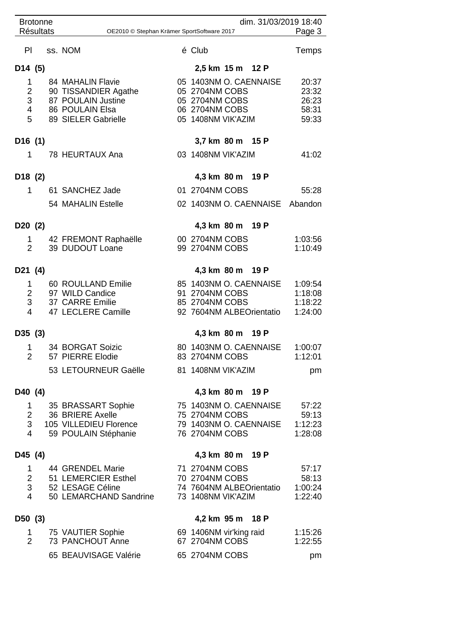| <b>Brotonne</b>                                                |  |  |                                            |                                                | dim. 31/03/2019 18:40  |                    |
|----------------------------------------------------------------|--|--|--------------------------------------------|------------------------------------------------|------------------------|--------------------|
| <b>Résultats</b><br>OE2010 © Stephan Krämer SportSoftware 2017 |  |  |                                            | Page 3                                         |                        |                    |
| PI                                                             |  |  | ss. NOM                                    | é Club                                         |                        | Temps              |
| D <sub>14</sub> (5)                                            |  |  |                                            | 2,5 km 15 m 12 P                               |                        |                    |
| 1                                                              |  |  | 84 MAHALIN Flavie                          | 05 1403NM O. CAENNAISE                         |                        | 20:37              |
| $\overline{2}$                                                 |  |  | 90 TISSANDIER Agathe                       | 05 2704NM COBS                                 |                        | 23:32              |
| 3<br>$\overline{4}$                                            |  |  | 87 POULAIN Justine<br>86 POULAIN Elsa      | 05 2704NM COBS<br>06 2704NM COBS               |                        | 26:23<br>58:31     |
| 5                                                              |  |  | 89 SIELER Gabrielle                        | 05 1408NM VIK'AZIM                             |                        | 59:33              |
|                                                                |  |  |                                            |                                                |                        |                    |
| D16(1)                                                         |  |  |                                            | 3,7 km 80 m 15 P                               |                        |                    |
| 1                                                              |  |  | 78 HEURTAUX Ana                            | 03 1408NM VIK'AZIM                             |                        | 41:02              |
| D18(2)                                                         |  |  |                                            | 4,3 km 80 m 19 P                               |                        |                    |
| 1                                                              |  |  | 61 SANCHEZ Jade                            | 01 2704NM COBS                                 |                        | 55:28              |
|                                                                |  |  | 54 MAHALIN Estelle                         |                                                | 02 1403NM O. CAENNAISE | Abandon            |
|                                                                |  |  |                                            |                                                |                        |                    |
| D20(2)                                                         |  |  |                                            | 4,3 km 80 m 19 P                               |                        |                    |
| 1                                                              |  |  | 42 FREMONT Raphaëlle                       | 00 2704NM COBS                                 |                        | 1:03:56            |
| $\overline{2}$                                                 |  |  | 39 DUDOUT Loane                            | 99 2704NM COBS                                 |                        | 1:10:49            |
| D21(4)                                                         |  |  |                                            | 4,3 km 80 m 19 P                               |                        |                    |
| 1                                                              |  |  | 60 ROULLAND Emilie                         | 85 1403NM O. CAENNAISE                         |                        | 1:09:54            |
| $\overline{2}$                                                 |  |  | 97 WILD Candice                            | 91 2704NM COBS                                 |                        | 1:18:08            |
| 3                                                              |  |  | 37 CARRE Emilie                            | 85 2704NM COBS                                 |                        | 1:18:22            |
| $\overline{\mathbf{4}}$                                        |  |  | 47 LECLERE Camille                         | 92 7604NM ALBEOrientatio                       |                        | 1:24:00            |
| D35 (3)                                                        |  |  |                                            | 4,3 km 80 m 19 P                               |                        |                    |
| 1                                                              |  |  | 34 BORGAT Soizic                           | 80 1403NM O. CAENNAISE                         |                        | 1:00:07            |
| $\overline{2}$                                                 |  |  | 57 PIERRE Elodie                           | 83 2704NM COBS                                 |                        | 1:12:01            |
|                                                                |  |  | 53 LETOURNEUR Gaëlle                       | 81 1408NM VIK'AZIM                             |                        | pm                 |
| D40 (4)                                                        |  |  |                                            | 4,3 km 80 m 19 P                               |                        |                    |
| 1                                                              |  |  | 35 BRASSART Sophie                         | 75 1403NM O. CAENNAISE                         |                        | 57:22              |
| $\overline{2}$                                                 |  |  | 36 BRIERE Axelle                           | 75 2704NM COBS                                 |                        | 59:13              |
| 3<br>4                                                         |  |  | 105 VILLEDIEU Florence                     | 79 1403NM O. CAENNAISE<br>76 2704NM COBS       |                        | 1:12:23            |
|                                                                |  |  | 59 POULAIN Stéphanie                       |                                                |                        | 1:28:08            |
| D45 (4)                                                        |  |  |                                            | 4,3 km 80 m 19 P                               |                        |                    |
| 1                                                              |  |  | 44 GRENDEL Marie                           | 71 2704NM COBS                                 |                        | 57:17              |
| $\overline{2}$                                                 |  |  | 51 LEMERCIER Esthel                        | 70 2704NM COBS                                 |                        | 58:13              |
| 3<br>4                                                         |  |  | 52 LESAGE Céline<br>50 LEMARCHAND Sandrine | 74 7604NM ALBEOrientatio<br>73 1408NM VIK'AZIM |                        | 1:00:24            |
|                                                                |  |  |                                            |                                                |                        | 1:22:40            |
| D50 (3)                                                        |  |  |                                            | 4,2 km 95 m 18 P                               |                        |                    |
| 1<br>$\overline{2}$                                            |  |  | 75 VAUTIER Sophie<br>73 PANCHOUT Anne      | 69 1406NM vir'king raid<br>67 2704NM COBS      |                        | 1:15:26<br>1:22:55 |
|                                                                |  |  | 65 BEAUVISAGE Valérie                      | 65 2704NM COBS                                 |                        | pm                 |